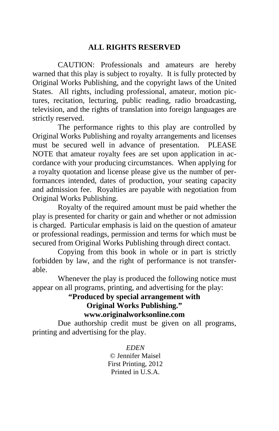# **ALL RIGHTS RESERVED**

 CAUTION: Professionals and amateurs are hereby warned that this play is subject to royalty. It is fully protected by Original Works Publishing, and the copyright laws of the United States. All rights, including professional, amateur, motion pictures, recitation, lecturing, public reading, radio broadcasting, television, and the rights of translation into foreign languages are strictly reserved.

 The performance rights to this play are controlled by Original Works Publishing and royalty arrangements and licenses must be secured well in advance of presentation. PLEASE NOTE that amateur royalty fees are set upon application in accordance with your producing circumstances. When applying for a royalty quotation and license please give us the number of performances intended, dates of production, your seating capacity and admission fee. Royalties are payable with negotiation from Original Works Publishing.

 Royalty of the required amount must be paid whether the play is presented for charity or gain and whether or not admission is charged. Particular emphasis is laid on the question of amateur or professional readings, permission and terms for which must be secured from Original Works Publishing through direct contact.

 Copying from this book in whole or in part is strictly forbidden by law, and the right of performance is not transferable.

 Whenever the play is produced the following notice must appear on all programs, printing, and advertising for the play:

# **"Produced by special arrangement with Original Works Publishing." www.originalworksonline.com**

 Due authorship credit must be given on all programs, printing and advertising for the play.

> *EDEN*  © Jennifer Maisel First Printing, 2012 Printed in U.S.A.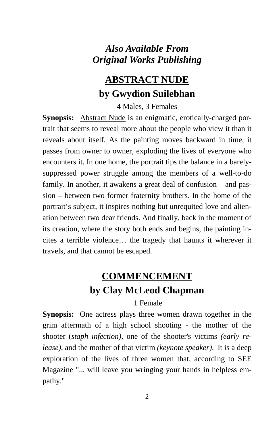# *Also Available From Original Works Publishing*

# **ABSTRACT NUDE by Gwydion Suilebhan**

4 Males, 3 Females

**Synopsis:** Abstract Nude is an enigmatic, erotically-charged portrait that seems to reveal more about the people who view it than it reveals about itself. As the painting moves backward in time, it passes from owner to owner, exploding the lives of everyone who encounters it. In one home, the portrait tips the balance in a barelysuppressed power struggle among the members of a well-to-do family. In another, it awakens a great deal of confusion – and passion – between two former fraternity brothers. In the home of the portrait's subject, it inspires nothing but unrequited love and alienation between two dear friends. And finally, back in the moment of its creation, where the story both ends and begins, the painting incites a terrible violence… the tragedy that haunts it wherever it travels, and that cannot be escaped.

# **COMMENCEMENT by Clay McLeod Chapman**

1 Female

**Synopsis:** One actress plays three women drawn together in the grim aftermath of a high school shooting - the mother of the shooter (*staph infection)*, one of the shooter's victims *(early release)*, and the mother of that victim *(keynote speaker)*. It is a deep exploration of the lives of three women that, according to SEE Magazine "... will leave you wringing your hands in helpless empathy."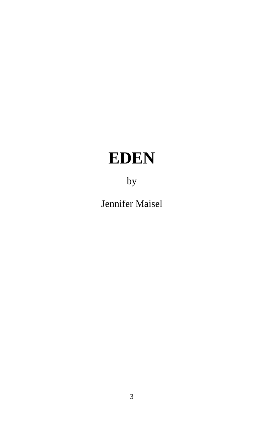# **EDEN**

by

Jennifer Maisel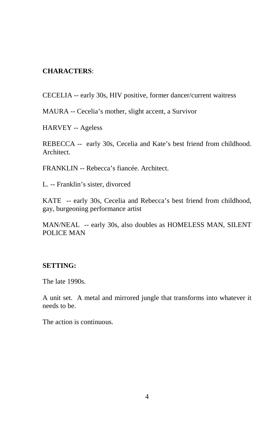# **CHARACTERS**:

CECELIA -- early 30s, HIV positive, former dancer/current waitress

MAURA -- Cecelia's mother, slight accent, a Survivor

HARVEY -- Ageless

REBECCA -- early 30s, Cecelia and Kate's best friend from childhood. Architect.

FRANKLIN -- Rebecca's fiancée. Architect.

L. -- Franklin's sister, divorced

KATE -- early 30s, Cecelia and Rebecca's best friend from childhood, gay, burgeoning performance artist

MAN/NEAL -- early 30s, also doubles as HOMELESS MAN, SILENT POLICE MAN

#### **SETTING:**

The late 1990s.

A unit set. A metal and mirrored jungle that transforms into whatever it needs to be.

The action is continuous.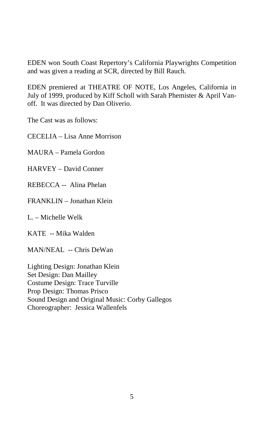EDEN won South Coast Repertory's California Playwrights Competition and was given a reading at SCR, directed by Bill Rauch.

EDEN premiered at THEATRE OF NOTE, Los Angeles, California in July of 1999, produced by Kiff Scholl with Sarah Phemister & April Vanoff. It was directed by Dan Oliverio.

The Cast was as follows:

CECELIA – Lisa Anne Morrison

MAURA – Pamela Gordon

HARVEY – David Conner

REBECCA -- Alina Phelan

FRANKLIN – Jonathan Klein

L. – Michelle Welk

KATE -- Mika Walden

MAN/NEAL -- Chris DeWan

Lighting Design: Jonathan Klein Set Design: Dan Mailley Costume Design: Trace Turville Prop Design: Thomas Prisco Sound Design and Original Music: Corby Gallegos Choreographer: Jessica Wallenfels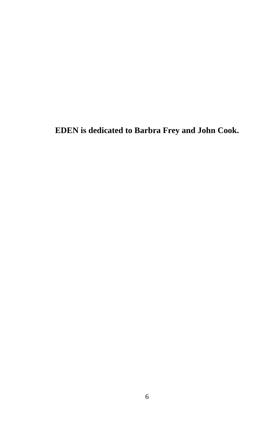**EDEN is dedicated to Barbra Frey and John Cook.**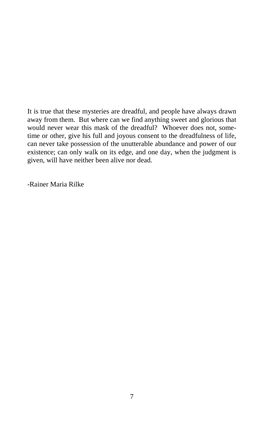It is true that these mysteries are dreadful, and people have always drawn away from them. But where can we find anything sweet and glorious that would never wear this mask of the dreadful? Whoever does not, sometime or other, give his full and joyous consent to the dreadfulness of life, can never take possession of the unutterable abundance and power of our existence; can only walk on its edge, and one day, when the judgment is given, will have neither been alive nor dead.

-Rainer Maria Rilke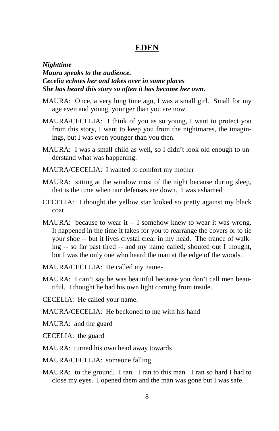# **EDEN**

*Nighttime Maura speaks to the audience. Cecelia echoes her and takes over in some places She has heard this story so often it has become her own.*

- MAURA: Once, a very long time ago, I was a small girl. Small for my age even and young, younger than you are now.
- MAURA/CECELIA: I think of you as so young, I want to protect you from this story, I want to keep you from the nightmares, the imaginings, but I was even younger than you then.
- MAURA: I was a small child as well, so I didn't look old enough to understand what was happening.
- MAURA/CECELIA: I wanted to comfort my mother
- MAURA: sitting at the window most of the night because during sleep, that is the time when our defenses are down. I was ashamed
- CECELIA: I thought the yellow star looked so pretty against my black coat
- MAURA: because to wear it -- I somehow knew to wear it was wrong. It happened in the time it takes for you to rearrange the covers or to tie your shoe -- but it lives crystal clear in my head. The trance of walking -- so far past tired -- and my name called, shouted out I thought, but I was the only one who heard the man at the edge of the woods.
- MAURA/CECELIA: He called my name-
- MAURA: I can't say he was beautiful because you don't call men beautiful. I thought he had his own light coming from inside.
- CECELIA: He called your name.

MAURA/CECELIA: He beckoned to me with his hand

- MAURA: and the guard
- CECELIA: the guard
- MAURA: turned his own head away towards
- MAURA/CECELIA: someone falling
- MAURA: to the ground. I ran. I ran to this man. I ran so hard I had to close my eyes. I opened them and the man was gone but I was safe.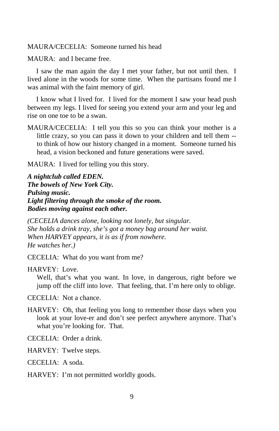MAURA/CECELIA: Someone turned his head

MAURA: and I became free.

 I saw the man again the day I met your father, but not until then. I lived alone in the woods for some time. When the partisans found me I was animal with the faint memory of girl.

 I know what I lived for. I lived for the moment I saw your head push between my legs. I lived for seeing you extend your arm and your leg and rise on one toe to be a swan.

MAURA/CECELIA: I tell you this so you can think your mother is a little crazy, so you can pass it down to your children and tell them - to think of how our history changed in a moment. Someone turned his head, a vision beckoned and future generations were saved.

MAURA: I lived for telling you this story.

*A nightclub called EDEN. The bowels of New York City. Pulsing music. Light filtering through the smoke of the room. Bodies moving against each other.*

*(CECELIA dances alone, looking not lonely, but singular. She holds a drink tray, she's got a money bag around her waist. When HARVEY appears, it is as if from nowhere. He watches her.)* 

CECELIA: What do you want from me?

HARVEY: Love.

Well, that's what you want. In love, in dangerous, right before we jump off the cliff into love. That feeling, that. I'm here only to oblige.

CECELIA: Not a chance.

HARVEY: Oh, that feeling you long to remember those days when you look at your love-er and don't see perfect anywhere anymore. That's what you're looking for. That.

CECELIA: Order a drink.

HARVEY: Twelve steps.

CECELIA: A soda.

HARVEY: I'm not permitted worldly goods.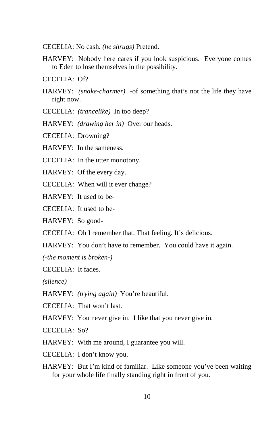- CECELIA: No cash. *(he shrugs)* Pretend.
- HARVEY: Nobody here cares if you look suspicious. Everyone comes to Eden to lose themselves in the possibility.
- CECELIA: Of?
- HARVEY: *(snake-charmer)* -of something that's not the life they have right now.
- CECELIA: *(trancelike)* In too deep?
- HARVEY: *(drawing her in)* Over our heads.
- CECELIA: Drowning?
- HARVEY: In the sameness.
- CECELIA: In the utter monotony.
- HARVEY: Of the every day.
- CECELIA: When will it ever change?
- HARVEY: It used to be-
- CECELIA: It used to be-
- HARVEY: So good-
- CECELIA: Oh I remember that. That feeling. It's delicious.
- HARVEY: You don't have to remember. You could have it again.

*(-the moment is broken-)* 

- CECELIA: It fades.
- *(silence)*
- HARVEY: *(trying again)* You're beautiful.
- CECELIA: That won't last.
- HARVEY: You never give in. I like that you never give in.
- CECELIA: So?
- HARVEY: With me around, I guarantee you will.
- CECELIA: I don't know you.
- HARVEY: But I'm kind of familiar. Like someone you've been waiting for your whole life finally standing right in front of you.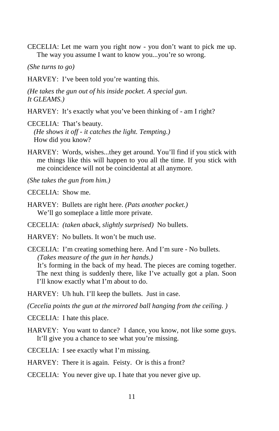CECELIA: Let me warn you right now - you don't want to pick me up. The way you assume I want to know you...you're so wrong.

*(She turns to go)* 

HARVEY: I've been told you're wanting this.

*(He takes the gun out of his inside pocket. A special gun. It GLEAMS.)* 

- HARVEY: It's exactly what you've been thinking of am I right?
- CECELIA: That's beauty. *(He shows it off - it catches the light. Tempting.)* How did you know?
- HARVEY: Words, wishes...they get around. You'll find if you stick with me things like this will happen to you all the time. If you stick with me coincidence will not be coincidental at all anymore.
- *(She takes the gun from him.)*
- CECELIA: Show me.
- HARVEY: Bullets are right here. *(Pats another pocket.)* We'll go someplace a little more private.
- CECELIA: *(taken aback, slightly surprised)* No bullets.
- HARVEY: No bullets. It won't be much use.
- CECELIA: I'm creating something here. And I'm sure No bullets. *(Takes measure of the gun in her hands.)*  It's forming in the back of my head. The pieces are coming together. The next thing is suddenly there, like I've actually got a plan. Soon I'll know exactly what I'm about to do.
- HARVEY: Uh huh. I'll keep the bullets. Just in case.

*(Cecelia points the gun at the mirrored ball hanging from the ceiling. )*

- CECELIA: I hate this place.
- HARVEY: You want to dance? I dance, you know, not like some guys. It'll give you a chance to see what you're missing.
- CECELIA: I see exactly what I'm missing.
- HARVEY: There it is again. Feisty. Or is this a front?
- CECELIA: You never give up. I hate that you never give up.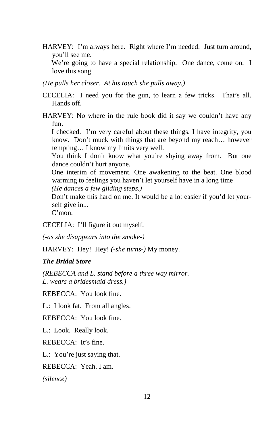HARVEY: I'm always here. Right where I'm needed. Just turn around, you'll see me.

We're going to have a special relationship. One dance, come on. I love this song.

*(He pulls her closer. At his touch she pulls away.)* 

CECELIA: I need you for the gun, to learn a few tricks. That's all. Hands off.

HARVEY: No where in the rule book did it say we couldn't have any fun.

I checked. I'm very careful about these things. I have integrity, you know. Don't muck with things that are beyond my reach… however tempting… I know my limits very well.

You think I don't know what you're shying away from. But one dance couldn't hurt anyone.

One interim of movement. One awakening to the beat. One blood warming to feelings you haven't let yourself have in a long time *(He dances a few gliding steps.)* 

Don't make this hard on me. It would be a lot easier if you'd let yourself give in...

C'mon.

CECELIA: I'll figure it out myself.

*(-as she disappears into the smoke-)* 

HARVEY: Hey! Hey! (-she turns-) My money.

#### *The Bridal Store*

*(REBECCA and L. stand before a three way mirror. L. wears a bridesmaid dress.)* 

REBECCA: You look fine.

L.: I look fat. From all angles.

REBECCA: You look fine.

L.: Look. Really look.

REBECCA: It's fine.

L.: You're just saying that.

REBECCA: Yeah. I am.

*(silence)*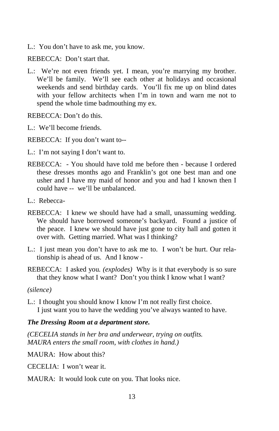L.: You don't have to ask me, you know.

REBECCA: Don't start that.

L.: We're not even friends yet. I mean, you're marrying my brother. We'll be family. We'll see each other at holidays and occasional weekends and send birthday cards. You'll fix me up on blind dates with your fellow architects when I'm in town and warn me not to spend the whole time badmouthing my ex.

REBECCA: Don't do this.

L.: We'll become friends.

REBECCA: If you don't want to--

- L.: I'm not saying I don't want to.
- REBECCA: You should have told me before then because I ordered these dresses months ago and Franklin's got one best man and one usher and I have my maid of honor and you and had I known then I could have -- we'll be unbalanced.
- L.: Rebecca-
- REBECCA: I knew we should have had a small, unassuming wedding. We should have borrowed someone's backyard. Found a justice of the peace. I knew we should have just gone to city hall and gotten it over with. Getting married. What was I thinking?
- L.: I just mean you don't have to ask me to. I won't be hurt. Our relationship is ahead of us. And I know -
- REBECCA: I asked you*. (explodes)* Why is it that everybody is so sure that they know what I want? Don't you think I know what I want?

*(silence)* 

L.: I thought you should know I know I'm not really first choice. I just want you to have the wedding you've always wanted to have.

#### *The Dressing Room at a department store.*

*(CECELIA stands in her bra and underwear, trying on outfits. MAURA enters the small room, with clothes in hand.)*

MAURA: How about this?

CECELIA: I won't wear it.

MAURA: It would look cute on you. That looks nice.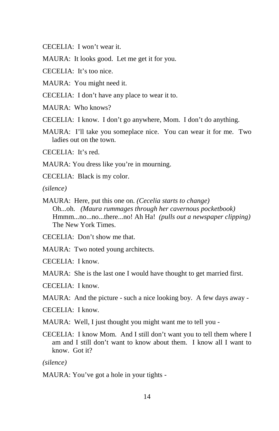CECELIA: I won't wear it.

MAURA: It looks good. Let me get it for you.

CECELIA: It's too nice.

MAURA: You might need it.

CECELIA: I don't have any place to wear it to.

MAURA: Who knows?

CECELIA: I know. I don't go anywhere, Mom. I don't do anything.

MAURA: I'll take you someplace nice. You can wear it for me. Two ladies out on the town.

CECELIA: It's red.

MAURA: You dress like you're in mourning.

CECELIA: Black is my color.

*(silence)* 

MAURA: Here, put this one on. *(Cecelia starts to change)* Oh...oh. *(Maura rummages through her cavernous pocketbook)* Hmmm...no...no...there...no! Ah Ha! *(pulls out a newspaper clipping)* The New York Times.

CECELIA: Don't show me that.

MAURA: Two noted young architects.

CECELIA: I know.

MAURA: She is the last one I would have thought to get married first.

CECELIA: I know.

MAURA: And the picture - such a nice looking boy. A few days away -

CECELIA: I know.

MAURA: Well, I just thought you might want me to tell you -

CECELIA: I know Mom. And I still don't want you to tell them where I am and I still don't want to know about them. I know all I want to know. Got it?

*(silence)* 

MAURA: You've got a hole in your tights -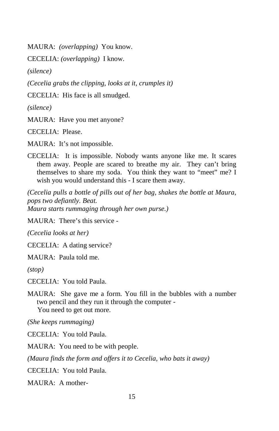MAURA: *(overlapping)* You know.

CECELIA: *(overlapping)* I know.

*(silence)* 

*(Cecelia grabs the clipping, looks at it, crumples it)* 

CECELIA: His face is all smudged.

*(silence)* 

MAURA: Have you met anyone?

CECELIA: Please.

MAURA: It's not impossible.

CECELIA: It is impossible. Nobody wants anyone like me. It scares them away. People are scared to breathe my air. They can't bring themselves to share my soda. You think they want to "meet" me? I wish you would understand this - I scare them away.

*(Cecelia pulls a bottle of pills out of her bag, shakes the bottle at Maura, pops two defiantly. Beat. Maura starts rummaging through her own purse.)* 

MAURA: There's this service -

*(Cecelia looks at her)* 

CECELIA: A dating service?

MAURA: Paula told me.

*(stop)* 

CECELIA: You told Paula.

MAURA: She gave me a form. You fill in the bubbles with a number two pencil and they run it through the computer - You need to get out more.

*(She keeps rummaging)* 

CECELIA: You told Paula.

MAURA: You need to be with people.

*(Maura finds the form and offers it to Cecelia, who bats it away)* 

CECELIA: You told Paula.

MAURA: A mother-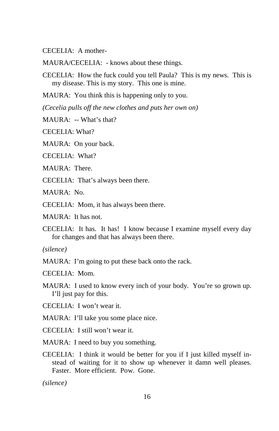CECELIA: A mother-

MAURA/CECELIA: - knows about these things.

CECELIA: How the fuck could you tell Paula? This is my news. This is my disease. This is my story. This one is mine.

MAURA: You think this is happening only to you.

*(Cecelia pulls off the new clothes and puts her own on)* 

MAURA: -- What's that?

CECELIA: What?

MAURA: On your back.

CECELIA: What?

MAURA: There.

CECELIA: That's always been there.

MAURA: No.

CECELIA: Mom, it has always been there.

MAURA: It has not.

CECELIA: It has. It has! I know because I examine myself every day for changes and that has always been there.

*(silence)* 

MAURA: I'm going to put these back onto the rack.

CECELIA: Mom.

MAURA: I used to know every inch of your body. You're so grown up. I'll just pay for this.

CECELIA: I won't wear it.

MAURA: I'll take you some place nice.

CECELIA: I still won't wear it.

MAURA: I need to buy you something.

CECELIA: I think it would be better for you if I just killed myself instead of waiting for it to show up whenever it damn well pleases. Faster. More efficient. Pow. Gone.

*(silence)*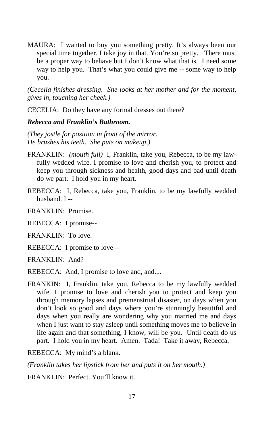MAURA: I wanted to buy you something pretty. It's always been our special time together. I take joy in that. You're so pretty. There must be a proper way to behave but I don't know what that is. I need some way to help you. That's what you could give me -- some way to help you.

*(Cecelia finishes dressing. She looks at her mother and for the moment, gives in, touching her cheek.)* 

CECELIA: Do they have any formal dresses out there?

#### *Rebecca and Franklin's Bathroom.*

*(They jostle for position in front of the mirror. He brushes his teeth. She puts on makeup.)* 

- FRANKLIN: *(mouth full)* I, Franklin, take you, Rebecca, to be my lawfully wedded wife. I promise to love and cherish you, to protect and keep you through sickness and health, good days and bad until death do we part. I hold you in my heart.
- REBECCA: I, Rebecca, take you, Franklin, to be my lawfully wedded husband. I --
- FRANKLIN: Promise.
- REBECCA: I promise--
- FRANKLIN: To love.
- REBECCA: I promise to love --
- FRANKLIN: And?
- REBECCA: And, I promise to love and, and....
- FRANKIN: I, Franklin, take you, Rebecca to be my lawfully wedded wife. I promise to love and cherish you to protect and keep you through memory lapses and premenstrual disaster, on days when you don't look so good and days where you're stunningly beautiful and days when you really are wondering why you married me and days when I just want to stay asleep until something moves me to believe in life again and that something, I know, will be you. Until death do us part. I hold you in my heart. Amen. Tada! Take it away, Rebecca.
- REBECCA: My mind's a blank.
- *(Franklin takes her lipstick from her and puts it on her mouth.)*
- FRANKLIN: Perfect. You'll know it.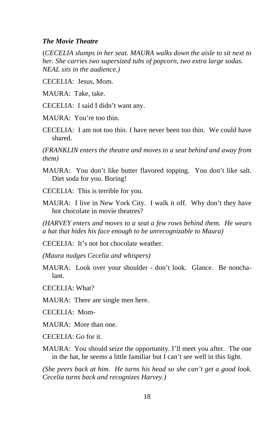#### *The Movie Theatre*

(*CECELIA slumps in her seat. MAURA walks down the aisle to sit next to her. She carries two supersized tubs of popcorn, two extra large sodas. NEAL sits in the audience.)*

CECELIA: Jesus, Mom.

MAURA: Take, take.

CECELIA: I said I didn't want any.

MAURA: You're too thin.

CECELIA: I am not too thin. I have never been too thin. We could have shared.

*(FRANKLIN enters the theatre and moves to a seat behind and away from them)* 

MAURA: You don't like butter flavored topping. You don't like salt. Diet soda for you. Boring!

CECELIA: This is terrible for you.

MAURA: I live in New York City. I walk it off. Why don't they have hot chocolate in movie theatres?

*(HARVEY enters and moves to a seat a few rows behind them. He wears a hat that hides his face enough to be unrecognizable to Maura)* 

CECELIA: It's not hot chocolate weather.

*(Maura nudges Cecelia and whispers)* 

MAURA: Look over your shoulder - don't look. Glance. Be nonchalant.

CECELIA: What?

MAURA: There are single men here.

CECELIA: Mom-

MAURA: More than one.

 $CECELLA \cdot Go$  for it.

MAURA: You should seize the opportunity. I'll meet you after. The one in the hat, he seems a little familiar but I can't see well in this light.

*(She peers back at him. He turns his head so she can't get a good look. Cecelia turns back and recognizes Harvey.)*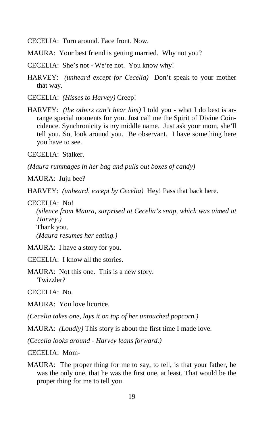CECELIA: Turn around. Face front. Now.

MAURA: Your best friend is getting married. Why not you?

CECELIA: She's not - We're not. You know why!

HARVEY: *(unheard except for Cecelia)* Don't speak to your mother that way.

CECELIA: *(Hisses to Harvey)* Creep!

HARVEY: *(the others can't hear him)* I told you - what I do best is arrange special moments for you. Just call me the Spirit of Divine Coincidence. Synchronicity is my middle name. Just ask your mom, she'll tell you. So, look around you. Be observant. I have something here you have to see.

CECELIA: Stalker.

*(Maura rummages in her bag and pulls out boxes of candy)*

MAURA: Juju bee?

HARVEY: *(unheard, except by Cecelia)* Hey! Pass that back here.

#### CECELIA: No!

*(silence from Maura, surprised at Cecelia's snap, which was aimed at Harvey.)*  Thank you. *(Maura resumes her eating.)* 

MAURA: I have a story for you.

CECELIA: I know all the stories.

MAURA: Not this one. This is a new story. Twizzler?

CECELIA: No.

MAURA: You love licorice.

*(Cecelia takes one, lays it on top of her untouched popcorn.)* 

MAURA: *(Loudly)* This story is about the first time I made love.

*(Cecelia looks around - Harvey leans forward.)* 

CECELIA: Mom-

MAURA: The proper thing for me to say, to tell, is that your father, he was the only one, that he was the first one, at least. That would be the proper thing for me to tell you.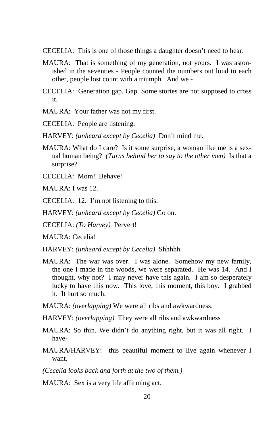- CECELIA: This is one of those things a daughter doesn't need to hear.
- MAURA: That is something of my generation, not yours. I was astonished in the seventies - People counted the numbers out loud to each other, people lost count with a triumph. And we -
- CECELIA: Generation gap. Gap. Some stories are not supposed to cross it.
- MAURA: Your father was not my first.
- CECELIA: People are listening.
- HARVEY: *(unheard except by Cecelia)* Don't mind me.
- MAURA: What do I care? Is it some surprise, a woman like me is a sexual human being? *(Turns behind her to say to the other men)* Is that a surprise?
- CECELIA: Mom! Behave!
- MAURA: I was 12.
- CECELIA: 12. I'm not listening to this.
- HARVEY: *(unheard except by Cecelia)* Go on.
- CECELIA: *(To Harvey)* Pervert!
- MAURA: Cecelia!
- HARVEY: *(unheard except by Cecelia)* Shhhhh.
- MAURA: The war was over. I was alone. Somehow my new family, the one I made in the woods, we were separated. He was 14. And I thought, why not? I may never have this again. I am so desperately lucky to have this now. This love, this moment, this boy. I grabbed it. It hurt so much.
- MAURA: *(overlapping)* We were all ribs and awkwardness.
- HARVEY: *(overlapping)* They were all ribs and awkwardness
- MAURA: So thin. We didn't do anything right, but it was all right. I have-
- MAURA/HARVEY: this beautiful moment to live again whenever I want.
- *(Cecelia looks back and forth at the two of them.)*
- MAURA: Sex is a very life affirming act.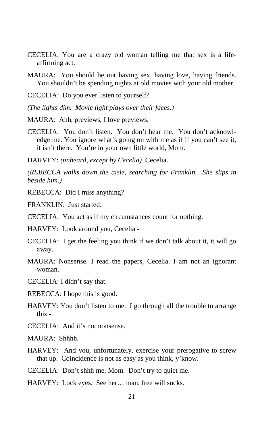- CECELIA: You are a crazy old woman telling me that sex is a lifeaffirming act.
- MAURA: You should be out having sex, having love, having friends. You shouldn't be spending nights at old movies with your old mother.
- CECELIA: Do you ever listen to yourself?
- *(The lights dim. Movie light plays over their faces.)*
- MAURA: Ahh, previews, I love previews.
- CECELIA: You don't listen. You don't hear me. You don't acknowledge me. You ignore what's going on with me as if if you can't see it, it isn't there. You're in your own little world, Mom.
- HARVEY: *(unheard, except by Cecelia)* Cecelia.

*(REBECCA walks down the aisle, searching for Franklin. She slips in beside him.)* 

REBECCA: Did I miss anything?

FRANKLIN: Just started.

- CECELIA: You act as if my circumstances count for nothing.
- HARVEY: Look around you, Cecelia -
- CECELIA: I get the feeling you think if we don't talk about it, it will go away.
- MAURA: Nonsense. I read the papers, Cecelia. I am not an ignorant woman.
- CECELIA: I didn't say that.
- REBECCA: I hope this is good.
- HARVEY: You don't listen to me. I go through all the trouble to arrange this -
- CECELIA: And it's not nonsense.
- MAURA: Shhhh.
- HARVEY: And you, unfortunately, exercise your prerogative to screw that up. Coincidence is not as easy as you think, y'know.
- CECELIA: Don't shhh me, Mom. Don't try to quiet me.
- HARVEY: Lock eyes. See her… man, free will sucks.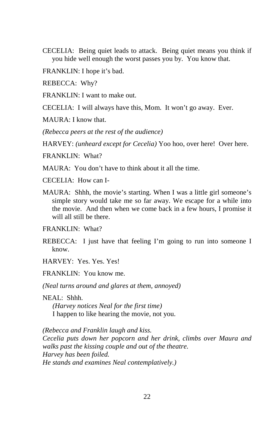- CECELIA: Being quiet leads to attack. Being quiet means you think if you hide well enough the worst passes you by. You know that.
- FRANKLIN: I hope it's bad.

REBECCA: Why?

FRANKLIN: I want to make out.

CECELIA: I will always have this, Mom. It won't go away. Ever.

MAURA: I know that.

*(Rebecca peers at the rest of the audience)* 

HARVEY: *(unheard except for Cecelia)* Yoo hoo, over here! Over here.

FRANKLIN: What?

MAURA: You don't have to think about it all the time.

CECELIA: How can I-

MAURA: Shhh, the movie's starting. When I was a little girl someone's simple story would take me so far away. We escape for a while into the movie. And then when we come back in a few hours, I promise it will all still be there.

FRANKLIN: What?

REBECCA: I just have that feeling I'm going to run into someone I know.

HARVEY: Yes. Yes. Yes!

FRANKLIN: You know me.

*(Neal turns around and glares at them, annoyed)* 

NEAL: Shhh. *(Harvey notices Neal for the first time)*  I happen to like hearing the movie, not you.

*(Rebecca and Franklin laugh and kiss. Cecelia puts down her popcorn and her drink, climbs over Maura and walks past the kissing couple and out of the theatre. Harvey has been foiled. He stands and examines Neal contemplatively.)*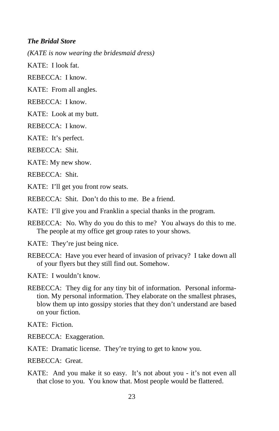#### *The Bridal Store*

*(KATE is now wearing the bridesmaid dress)* 

KATE: I look fat.

REBECCA: I know.

KATE: From all angles.

REBECCA: I know.

KATE: Look at my butt.

REBECCA: I know.

KATE: It's perfect.

REBECCA: Shit.

KATE: My new show.

REBECCA: Shit.

KATE: I'll get you front row seats.

REBECCA: Shit. Don't do this to me. Be a friend.

KATE: I'll give you and Franklin a special thanks in the program.

- REBECCA: No. Why do you do this to me? You always do this to me. The people at my office get group rates to your shows.
- KATE: They're just being nice.
- REBECCA: Have you ever heard of invasion of privacy? I take down all of your flyers but they still find out. Somehow.
- KATE: I wouldn't know.
- REBECCA: They dig for any tiny bit of information. Personal information. My personal information. They elaborate on the smallest phrases, blow them up into gossipy stories that they don't understand are based on your fiction.

KATE: Fiction.

REBECCA: Exaggeration.

KATE: Dramatic license. They're trying to get to know you.

REBECCA: Great.

KATE: And you make it so easy. It's not about you - it's not even all that close to you. You know that. Most people would be flattered.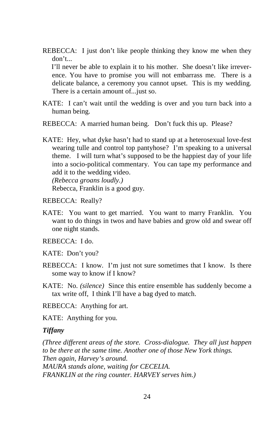REBECCA: I just don't like people thinking they know me when they don't...

I'll never be able to explain it to his mother. She doesn't like irreverence. You have to promise you will not embarrass me. There is a delicate balance, a ceremony you cannot upset. This is my wedding. There is a certain amount of...just so.

- KATE: I can't wait until the wedding is over and you turn back into a human being.
- REBECCA: A married human being. Don't fuck this up. Please?
- KATE: Hey, what dyke hasn't had to stand up at a heterosexual love-fest wearing tulle and control top pantyhose? I'm speaking to a universal theme. I will turn what's supposed to be the happiest day of your life into a socio-political commentary. You can tape my performance and add it to the wedding video.

*(Rebecca groans loudly.)*  Rebecca, Franklin is a good guy.

REBECCA: Really?

KATE: You want to get married. You want to marry Franklin. You want to do things in twos and have babies and grow old and swear off one night stands.

REBECCA: I do.

- KATE: Don't you?
- REBECCA: I know. I'm just not sure sometimes that I know. Is there some way to know if I know?
- KATE: No. *(silence)* Since this entire ensemble has suddenly become a tax write off, I think I'll have a bag dyed to match.

REBECCA: Anything for art.

KATE: Anything for you.

#### *Tiffany*

*(Three different areas of the store. Cross-dialogue. They all just happen to be there at the same time. Another one of those New York things. Then again, Harvey's around. MAURA stands alone, waiting for CECELIA. FRANKLIN at the ring counter. HARVEY serves him.)*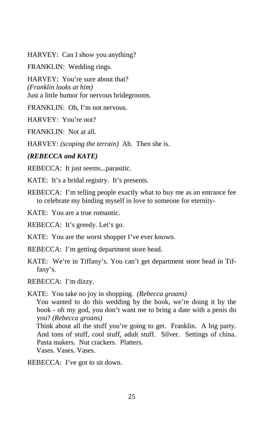HARVEY: Can I show you anything?

FRANKLIN: Wedding rings.

HARVEY: You're sure about that? *(Franklin looks at him)*  Just a little humor for nervous bridegrooms.

FRANKLIN: Oh, I'm not nervous.

HARVEY: You're not?

FRANKLIN: Not at all.

HARVEY: *(scoping the terrain)* Ah. Then she is.

#### *(REBECCA and KATE)*

REBECCA: It just seems...parasitic.

KATE: It's a bridal registry. It's presents.

REBECCA: I'm telling people exactly what to buy me as an entrance fee to celebrate my binding myself in love to someone for eternity-

KATE: You are a true romantic.

REBECCA: It's greedy. Let's go.

KATE: You are the worst shopper I've ever known.

REBECCA: I'm getting department store head.

KATE: We're in Tiffany's. You can't get department store head in Tiffany's.

REBECCA: I'm dizzy.

KATE: You take no joy in shopping. *(Rebecca groans)* You wanted to do this wedding by the book, we're doing it by the book - oh my god, you don't want me to bring a date with a penis do you? *(Rebecca groans)*

Think about all the stuff you're going to get. Franklin. A big party. And tons of stuff, cool stuff, adult stuff. Silver. Settings of china. Pasta makers. Nut crackers. Platters.

Vases. Vases. Vases.

REBECCA: I've got to sit down.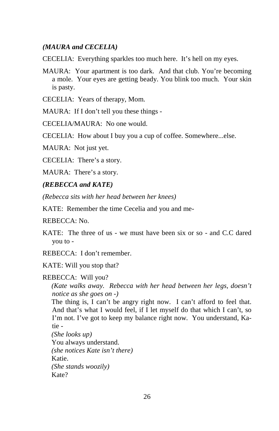#### *(MAURA and CECELIA)*

CECELIA: Everything sparkles too much here. It's hell on my eyes.

- MAURA: Your apartment is too dark. And that club. You're becoming a mole. Your eyes are getting beady. You blink too much. Your skin is pasty.
- CECELIA: Years of therapy, Mom.

MAURA: If I don't tell you these things -

CECELIA/MAURA: No one would.

CECELIA: How about I buy you a cup of coffee. Somewhere...else.

MAURA: Not just yet.

CECELIA: There's a story.

MAURA: There's a story.

#### *(REBECCA and KATE)*

*(Rebecca sits with her head between her knees)* 

KATE: Remember the time Cecelia and you and me-

REBECCA: No.

KATE: The three of us - we must have been six or so - and C.C dared you to -

REBECCA: I don't remember.

KATE: Will you stop that?

REBECCA: Will you?

*(Kate walks away. Rebecca with her head between her legs, doesn't notice as she goes on -)* 

The thing is, I can't be angry right now. I can't afford to feel that. And that's what I would feel, if I let myself do that which I can't, so I'm not. I've got to keep my balance right now. You understand, Katie -

*(She looks up)*  You always understand. *(she notices Kate isn't there)*  Katie. *(She stands woozily)*  Kate?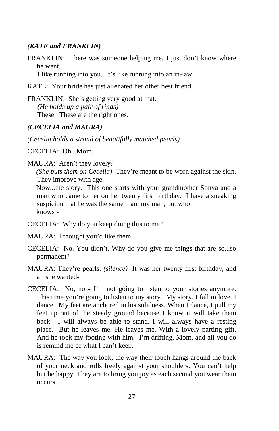#### *(KATE and FRANKLIN)*

FRANKLIN: There was someone helping me. I just don't know where he went.

I like running into you. It's like running into an in-law.

KATE: Your bride has just alienated her other best friend.

FRANKLIN: She's getting very good at that. *(He holds up a pair of rings)*  These. These are the right ones.

#### *(CECELIA and MAURA)*

*(Cecelia holds a strand of beautifully matched pearls)* 

CECELIA: Oh...Mom.

MAURA: Aren't they lovely?

*(She puts them on Cecelia)* They're meant to be worn against the skin. They improve with age.

Now...the story. This one starts with your grandmother Sonya and a man who came to her on her twenty first birthday. I have a sneaking suspicion that he was the same man, my man, but who knows -

- CECELIA: Why do you keep doing this to me?
- MAURA: I thought you'd like them.
- CECELIA: No. You didn't. Why do you give me things that are so...so permanent?
- MAURA: They're pearls. *(silence)* It was her twenty first birthday, and all she wanted-
- CECELIA: No, no I'm not going to listen to your stories anymore. This time you're going to listen to my story. My story. I fall in love. I dance. My feet are anchored in his solidness. When I dance, I pull my feet up out of the steady ground because I know it will take them back. I will always be able to stand. I will always have a resting place. But he leaves me. He leaves me. With a lovely parting gift. And he took my footing with him. I'm drifting, Mom, and all you do is remind me of what I can't keep.
- MAURA: The way you look, the way their touch hangs around the back of your neck and rolls freely against your shoulders. You can't help but be happy. They are to bring you joy as each second you wear them occurs.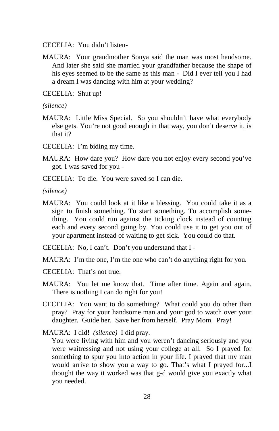CECELIA: You didn't listen-

MAURA: Your grandmother Sonya said the man was most handsome. And later she said she married your grandfather because the shape of his eyes seemed to be the same as this man - Did I ever tell you I had a dream I was dancing with him at your wedding?

CECELIA: Shut up!

*(silence)* 

- MAURA: Little Miss Special. So you shouldn't have what everybody else gets. You're not good enough in that way, you don't deserve it, is that it?
- CECELIA: I'm biding my time.
- MAURA: How dare you? How dare you not enjoy every second you've got. I was saved for you -
- CECELIA: To die. You were saved so I can die.

*(silence)* 

MAURA: You could look at it like a blessing. You could take it as a sign to finish something. To start something. To accomplish something. You could run against the ticking clock instead of counting each and every second going by. You could use it to get you out of your apartment instead of waiting to get sick. You could do that.

CECELIA: No, I can't. Don't you understand that I -

MAURA: I'm the one, I'm the one who can't do anything right for you.

- CECELIA: That's not true.
- MAURA: You let me know that. Time after time. Again and again. There is nothing I can do right for you!
- CECELIA: You want to do something? What could you do other than pray? Pray for your handsome man and your god to watch over your daughter. Guide her. Save her from herself. Pray Mom. Pray!

MAURA: I did! *(silence)* I did pray.

You were living with him and you weren't dancing seriously and you were waitressing and not using your college at all. So I prayed for something to spur you into action in your life. I prayed that my man would arrive to show you a way to go. That's what I prayed for...I thought the way it worked was that g-d would give you exactly what you needed.